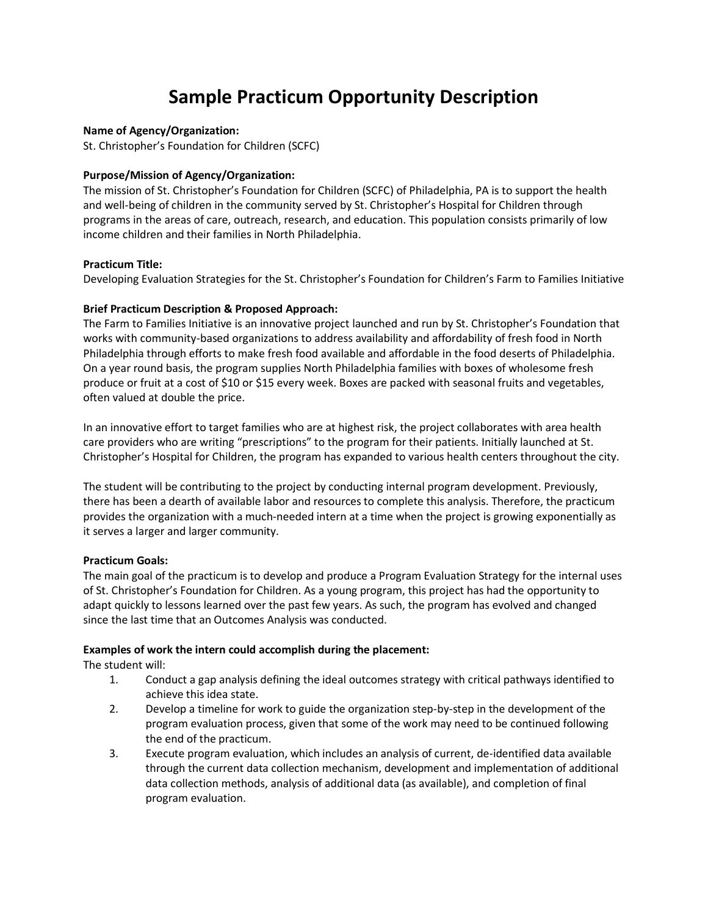# **Sample Practicum Opportunity Description**

### **Name of Agency/Organization:**

St. Christopher's Foundation for Children (SCFC)

### **Purpose/Mission of Agency/Organization:**

The mission of St. Christopher's Foundation for Children (SCFC) of Philadelphia, PA is to support the health and well-being of children in the community served by St. Christopher's Hospital for Children through programs in the areas of care, outreach, research, and education. This population consists primarily of low income children and their families in North Philadelphia.

#### **Practicum Title:**

Developing Evaluation Strategies for the St. Christopher's Foundation for Children's Farm to Families Initiative

### **Brief Practicum Description & Proposed Approach:**

The Farm to Families Initiative is an innovative project launched and run by St. Christopher's Foundation that works with community-based organizations to address availability and affordability of fresh food in North Philadelphia through efforts to make fresh food available and affordable in the food deserts of Philadelphia. On a year round basis, the program supplies North Philadelphia families with boxes of wholesome fresh produce or fruit at a cost of \$10 or \$15 every week. Boxes are packed with seasonal fruits and vegetables, often valued at double the price.

In an innovative effort to target families who are at highest risk, the project collaborates with area health care providers who are writing "prescriptions" to the program for their patients. Initially launched at St. Christopher's Hospital for Children, the program has expanded to various health centers throughout the city.

The student will be contributing to the project by conducting internal program development. Previously, there has been a dearth of available labor and resources to complete this analysis. Therefore, the practicum provides the organization with a much-needed intern at a time when the project is growing exponentially as it serves a larger and larger community.

#### **Practicum Goals:**

The main goal of the practicum is to develop and produce a Program Evaluation Strategy for the internal uses of St. Christopher's Foundation for Children. As a young program, this project has had the opportunity to adapt quickly to lessons learned over the past few years. As such, the program has evolved and changed since the last time that an Outcomes Analysis was conducted.

### **Examples of work the intern could accomplish during the placement:**

The student will:

- 1. Conduct a gap analysis defining the ideal outcomes strategy with critical pathways identified to achieve this idea state.
- 2. Develop a timeline for work to guide the organization step-by-step in the development of the program evaluation process, given that some of the work may need to be continued following the end of the practicum.
- 3. Execute program evaluation, which includes an analysis of current, de-identified data available through the current data collection mechanism, development and implementation of additional data collection methods, analysis of additional data (as available), and completion of final program evaluation.